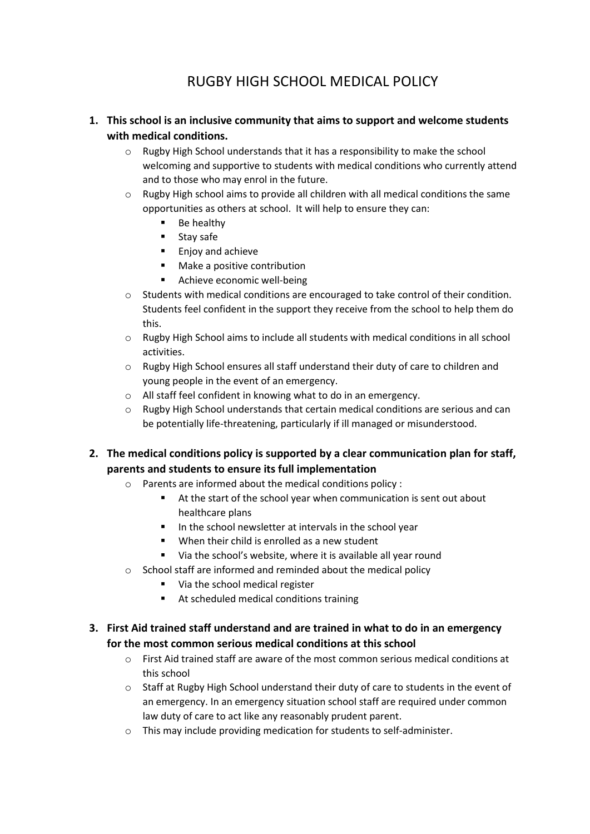# RUGBY HIGH SCHOOL MEDICAL POLICY

# **1. This school is an inclusive community that aims to support and welcome students with medical conditions.**

- $\circ$  Rugby High School understands that it has a responsibility to make the school welcoming and supportive to students with medical conditions who currently attend and to those who may enrol in the future.
- $\circ$  Rugby High school aims to provide all children with all medical conditions the same opportunities as others at school. It will help to ensure they can:
	- Be healthy
	- **Stay safe**
	- **Enjoy and achieve**
	- Make a positive contribution
	- **Achieve economic well-being**
- o Students with medical conditions are encouraged to take control of their condition. Students feel confident in the support they receive from the school to help them do this.
- o Rugby High School aims to include all students with medical conditions in all school activities.
- $\circ$  Rugby High School ensures all staff understand their duty of care to children and young people in the event of an emergency.
- o All staff feel confident in knowing what to do in an emergency.
- $\circ$  Rugby High School understands that certain medical conditions are serious and can be potentially life-threatening, particularly if ill managed or misunderstood.

**2. The medical conditions policy is supported by a clear communication plan for staff, parents and students to ensure its full implementation**

- o Parents are informed about the medical conditions policy :
	- At the start of the school year when communication is sent out about healthcare plans
	- $\blacksquare$  In the school newsletter at intervals in the school year
	- **When their child is enrolled as a new student**
	- Via the school's website, where it is available all year round
- o School staff are informed and reminded about the medical policy
	- Via the school medical register
	- At scheduled medical conditions training

# **3. First Aid trained staff understand and are trained in what to do in an emergency for the most common serious medical conditions at this school**

- $\circ$  First Aid trained staff are aware of the most common serious medical conditions at this school
- o Staff at Rugby High School understand their duty of care to students in the event of an emergency. In an emergency situation school staff are required under common law duty of care to act like any reasonably prudent parent.
- o This may include providing medication for students to self-administer.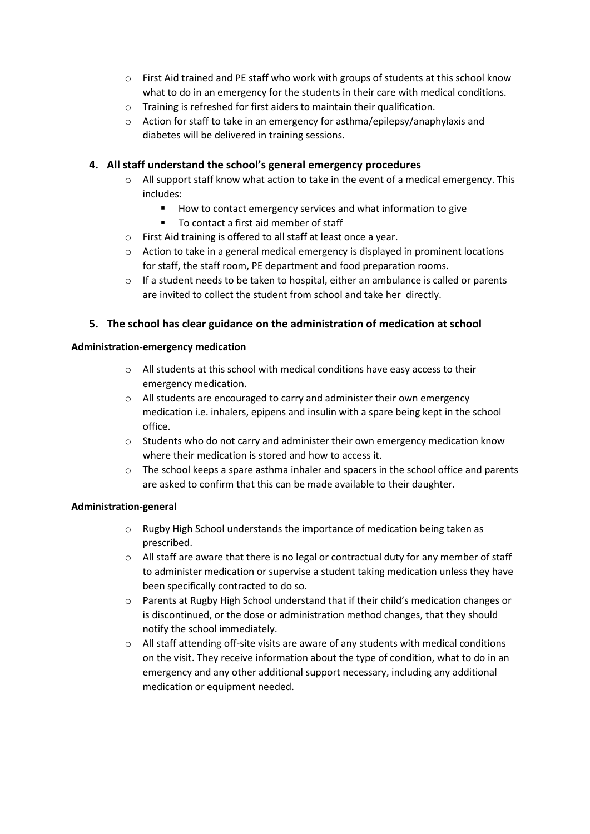- o First Aid trained and PE staff who work with groups of students at this school know what to do in an emergency for the students in their care with medical conditions.
- o Training is refreshed for first aiders to maintain their qualification.
- o Action for staff to take in an emergency for asthma/epilepsy/anaphylaxis and diabetes will be delivered in training sessions.

# **4. All staff understand the school's general emergency procedures**

- $\circ$  All support staff know what action to take in the event of a medical emergency. This includes:
	- How to contact emergency services and what information to give
	- To contact a first aid member of staff
- o First Aid training is offered to all staff at least once a year.
- o Action to take in a general medical emergency is displayed in prominent locations for staff, the staff room, PE department and food preparation rooms.
- $\circ$  If a student needs to be taken to hospital, either an ambulance is called or parents are invited to collect the student from school and take her directly.

# **5. The school has clear guidance on the administration of medication at school**

#### **Administration-emergency medication**

- o All students at this school with medical conditions have easy access to their emergency medication.
- o All students are encouraged to carry and administer their own emergency medication i.e. inhalers, epipens and insulin with a spare being kept in the school office.
- $\circ$  Students who do not carry and administer their own emergency medication know where their medication is stored and how to access it.
- $\circ$  The school keeps a spare asthma inhaler and spacers in the school office and parents are asked to confirm that this can be made available to their daughter.

# **Administration-general**

- o Rugby High School understands the importance of medication being taken as prescribed.
- $\circ$  All staff are aware that there is no legal or contractual duty for any member of staff to administer medication or supervise a student taking medication unless they have been specifically contracted to do so.
- o Parents at Rugby High School understand that if their child's medication changes or is discontinued, or the dose or administration method changes, that they should notify the school immediately.
- $\circ$  All staff attending off-site visits are aware of any students with medical conditions on the visit. They receive information about the type of condition, what to do in an emergency and any other additional support necessary, including any additional medication or equipment needed.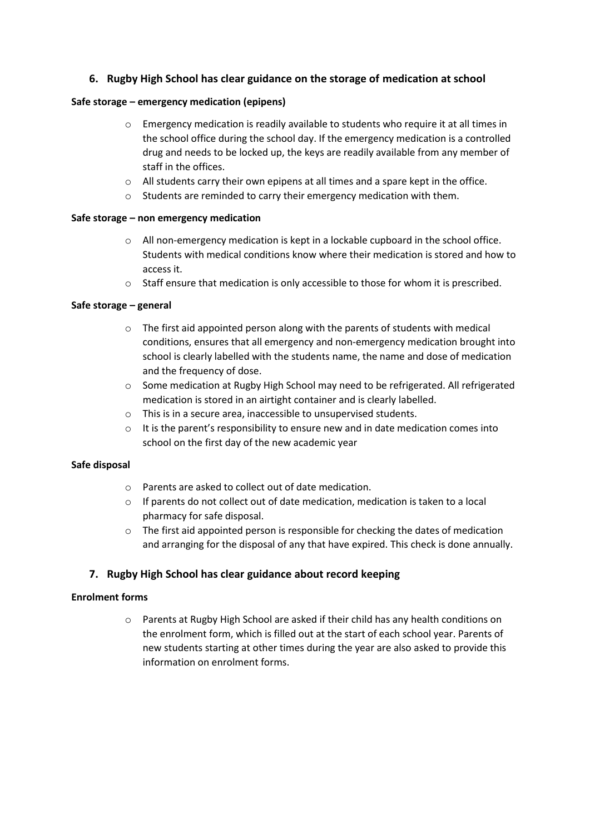# **6. Rugby High School has clear guidance on the storage of medication at school**

#### **Safe storage – emergency medication (epipens)**

- o Emergency medication is readily available to students who require it at all times in the school office during the school day. If the emergency medication is a controlled drug and needs to be locked up, the keys are readily available from any member of staff in the offices.
- o All students carry their own epipens at all times and a spare kept in the office.
- o Students are reminded to carry their emergency medication with them.

#### **Safe storage – non emergency medication**

- o All non-emergency medication is kept in a lockable cupboard in the school office. Students with medical conditions know where their medication is stored and how to access it.
- $\circ$  Staff ensure that medication is only accessible to those for whom it is prescribed.

#### **Safe storage – general**

- $\circ$  The first aid appointed person along with the parents of students with medical conditions, ensures that all emergency and non-emergency medication brought into school is clearly labelled with the students name, the name and dose of medication and the frequency of dose.
- o Some medication at Rugby High School may need to be refrigerated. All refrigerated medication is stored in an airtight container and is clearly labelled.
- o This is in a secure area, inaccessible to unsupervised students.
- $\circ$  It is the parent's responsibility to ensure new and in date medication comes into school on the first day of the new academic year

#### **Safe disposal**

- o Parents are asked to collect out of date medication.
- $\circ$  If parents do not collect out of date medication, medication is taken to a local pharmacy for safe disposal.
- $\circ$  The first aid appointed person is responsible for checking the dates of medication and arranging for the disposal of any that have expired. This check is done annually.

# **7. Rugby High School has clear guidance about record keeping**

# **Enrolment forms**

o Parents at Rugby High School are asked if their child has any health conditions on the enrolment form, which is filled out at the start of each school year. Parents of new students starting at other times during the year are also asked to provide this information on enrolment forms.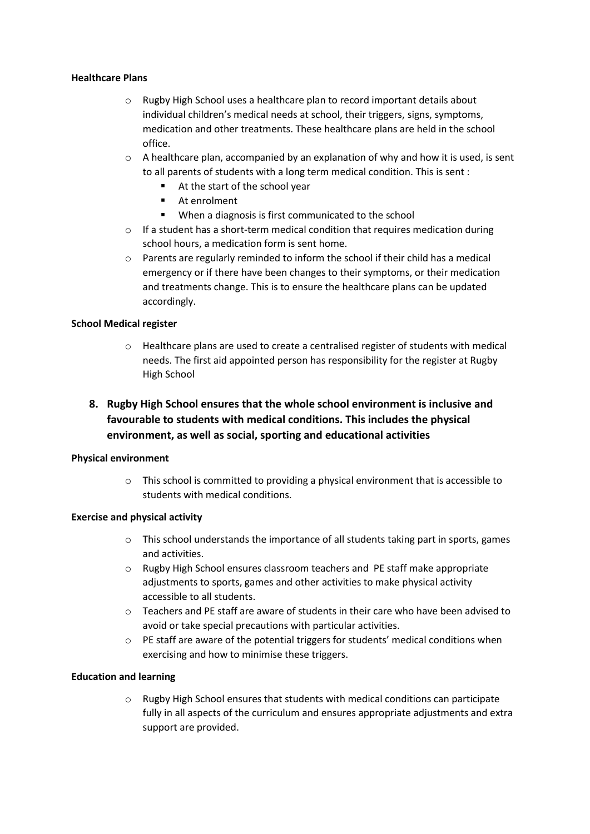#### **Healthcare Plans**

- o Rugby High School uses a healthcare plan to record important details about individual children's medical needs at school, their triggers, signs, symptoms, medication and other treatments. These healthcare plans are held in the school office.
- $\circ$  A healthcare plan, accompanied by an explanation of why and how it is used, is sent to all parents of students with a long term medical condition. This is sent :
	- At the start of the school year
	- **At enrolment**
	- When a diagnosis is first communicated to the school
- o If a student has a short-term medical condition that requires medication during school hours, a medication form is sent home.
- $\circ$  Parents are regularly reminded to inform the school if their child has a medical emergency or if there have been changes to their symptoms, or their medication and treatments change. This is to ensure the healthcare plans can be updated accordingly.

#### **School Medical register**

- o Healthcare plans are used to create a centralised register of students with medical needs. The first aid appointed person has responsibility for the register at Rugby High School
- **8. Rugby High School ensures that the whole school environment is inclusive and favourable to students with medical conditions. This includes the physical environment, as well as social, sporting and educational activities**

#### **Physical environment**

o This school is committed to providing a physical environment that is accessible to students with medical conditions.

# **Exercise and physical activity**

- $\circ$  This school understands the importance of all students taking part in sports, games and activities.
- o Rugby High School ensures classroom teachers and PE staff make appropriate adjustments to sports, games and other activities to make physical activity accessible to all students.
- $\circ$  Teachers and PE staff are aware of students in their care who have been advised to avoid or take special precautions with particular activities.
- $\circ$  PE staff are aware of the potential triggers for students' medical conditions when exercising and how to minimise these triggers.

# **Education and learning**

 $\circ$  Rugby High School ensures that students with medical conditions can participate fully in all aspects of the curriculum and ensures appropriate adjustments and extra support are provided.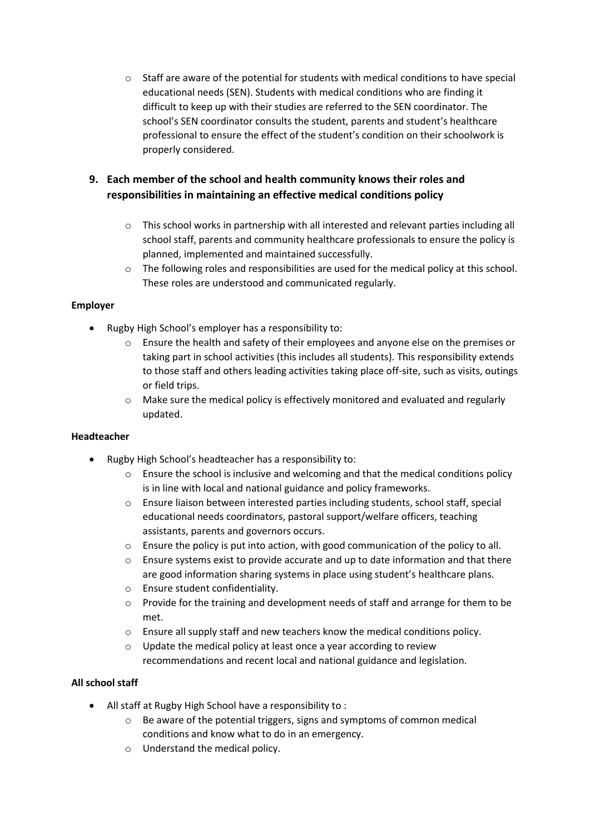o Staff are aware of the potential for students with medical conditions to have special educational needs (SEN). Students with medical conditions who are finding it difficult to keep up with their studies are referred to the SEN coordinator. The school's SEN coordinator consults the student, parents and student's healthcare professional to ensure the effect of the student's condition on their schoolwork is properly considered.

# **9. Each member of the school and health community knows their roles and responsibilities in maintaining an effective medical conditions policy**

- $\circ$  This school works in partnership with all interested and relevant parties including all school staff, parents and community healthcare professionals to ensure the policy is planned, implemented and maintained successfully.
- $\circ$  The following roles and responsibilities are used for the medical policy at this school. These roles are understood and communicated regularly.

# **Employer**

- Rugby High School's employer has a responsibility to:
	- o Ensure the health and safety of their employees and anyone else on the premises or taking part in school activities (this includes all students). This responsibility extends to those staff and others leading activities taking place off-site, such as visits, outings or field trips.
	- $\circ$  Make sure the medical policy is effectively monitored and evaluated and regularly updated.

# **Headteacher**

- Rugby High School's headteacher has a responsibility to:
	- $\circ$  Ensure the school is inclusive and welcoming and that the medical conditions policy is in line with local and national guidance and policy frameworks.
	- o Ensure liaison between interested parties including students, school staff, special educational needs coordinators, pastoral support/welfare officers, teaching assistants, parents and governors occurs.
	- o Ensure the policy is put into action, with good communication of the policy to all.
	- $\circ$  Ensure systems exist to provide accurate and up to date information and that there are good information sharing systems in place using student's healthcare plans.
	- o Ensure student confidentiality.
	- $\circ$  Provide for the training and development needs of staff and arrange for them to be met.
	- o Ensure all supply staff and new teachers know the medical conditions policy.
	- o Update the medical policy at least once a year according to review recommendations and recent local and national guidance and legislation.

# **All school staff**

- All staff at Rugby High School have a responsibility to :
	- o Be aware of the potential triggers, signs and symptoms of common medical conditions and know what to do in an emergency.
	- o Understand the medical policy.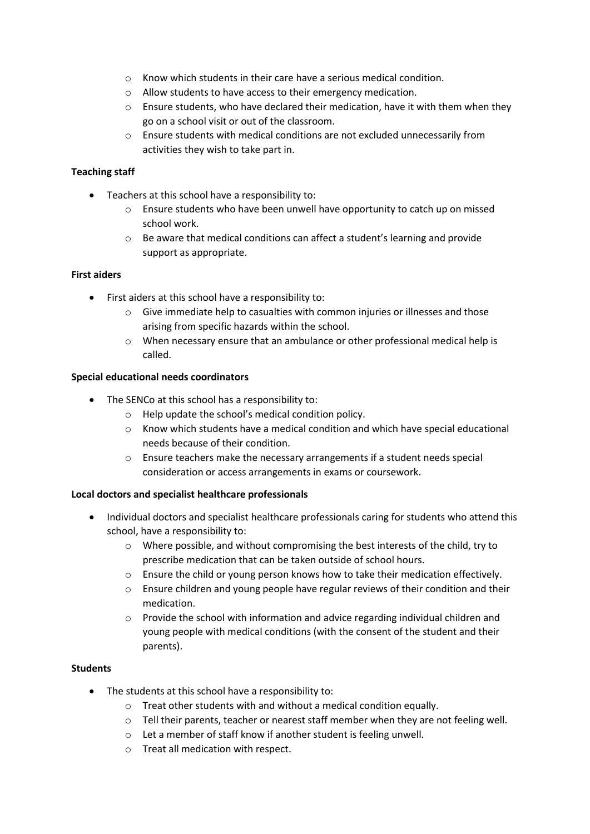- $\circ$  Know which students in their care have a serious medical condition.
- o Allow students to have access to their emergency medication.
- $\circ$  Ensure students, who have declared their medication, have it with them when they go on a school visit or out of the classroom.
- o Ensure students with medical conditions are not excluded unnecessarily from activities they wish to take part in.

#### **Teaching staff**

- Teachers at this school have a responsibility to:
	- o Ensure students who have been unwell have opportunity to catch up on missed school work.
	- o Be aware that medical conditions can affect a student's learning and provide support as appropriate.

#### **First aiders**

- First aiders at this school have a responsibility to:
	- $\circ$  Give immediate help to casualties with common injuries or illnesses and those arising from specific hazards within the school.
	- o When necessary ensure that an ambulance or other professional medical help is called.

#### **Special educational needs coordinators**

- The SENCo at this school has a responsibility to:
	- o Help update the school's medical condition policy.
	- $\circ$  Know which students have a medical condition and which have special educational needs because of their condition.
	- o Ensure teachers make the necessary arrangements if a student needs special consideration or access arrangements in exams or coursework.

#### **Local doctors and specialist healthcare professionals**

- Individual doctors and specialist healthcare professionals caring for students who attend this school, have a responsibility to:
	- o Where possible, and without compromising the best interests of the child, try to prescribe medication that can be taken outside of school hours.
	- o Ensure the child or young person knows how to take their medication effectively.
	- o Ensure children and young people have regular reviews of their condition and their medication.
	- $\circ$  Provide the school with information and advice regarding individual children and young people with medical conditions (with the consent of the student and their parents).

#### **Students**

- The students at this school have a responsibility to:
	- o Treat other students with and without a medical condition equally.
	- o Tell their parents, teacher or nearest staff member when they are not feeling well.
	- o Let a member of staff know if another student is feeling unwell.
	- o Treat all medication with respect.